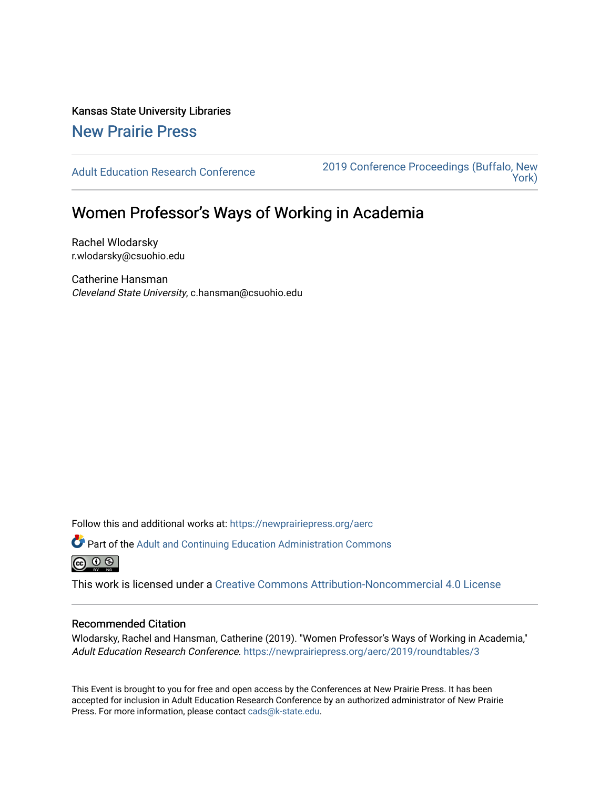Kansas State University Libraries

[New Prairie Press](https://newprairiepress.org/) 

[Adult Education Research Conference](https://newprairiepress.org/aerc) [2019 Conference Proceedings \(Buffalo, New](https://newprairiepress.org/aerc/2019)  [York\)](https://newprairiepress.org/aerc/2019) 

## Women Professor's Ways of Working in Academia

Rachel Wlodarsky r.wlodarsky@csuohio.edu

Catherine Hansman Cleveland State University, c.hansman@csuohio.edu

Follow this and additional works at: [https://newprairiepress.org/aerc](https://newprairiepress.org/aerc?utm_source=newprairiepress.org%2Faerc%2F2019%2Froundtables%2F3&utm_medium=PDF&utm_campaign=PDFCoverPages)

Part of the [Adult and Continuing Education Administration Commons](http://network.bepress.com/hgg/discipline/789?utm_source=newprairiepress.org%2Faerc%2F2019%2Froundtables%2F3&utm_medium=PDF&utm_campaign=PDFCoverPages) <u>ெ ெ ⊜</u>

This work is licensed under a [Creative Commons Attribution-Noncommercial 4.0 License](https://creativecommons.org/licenses/by-nc/4.0/)

## Recommended Citation

Wlodarsky, Rachel and Hansman, Catherine (2019). "Women Professor's Ways of Working in Academia," Adult Education Research Conference. <https://newprairiepress.org/aerc/2019/roundtables/3>

This Event is brought to you for free and open access by the Conferences at New Prairie Press. It has been accepted for inclusion in Adult Education Research Conference by an authorized administrator of New Prairie Press. For more information, please contact [cads@k-state.edu.](mailto:cads@k-state.edu)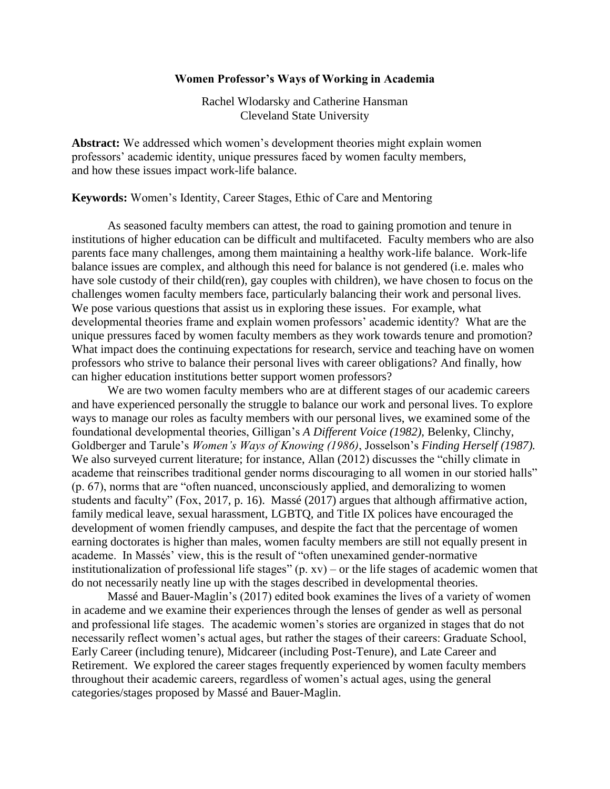## **Women Professor's Ways of Working in Academia**

Rachel Wlodarsky and Catherine Hansman Cleveland State University

**Abstract:** We addressed which women's development theories might explain women professors' academic identity, unique pressures faced by women faculty members, and how these issues impact work-life balance.

**Keywords:** Women's Identity, Career Stages, Ethic of Care and Mentoring

As seasoned faculty members can attest, the road to gaining promotion and tenure in institutions of higher education can be difficult and multifaceted. Faculty members who are also parents face many challenges, among them maintaining a healthy work-life balance. Work-life balance issues are complex, and although this need for balance is not gendered (i.e. males who have sole custody of their child(ren), gay couples with children), we have chosen to focus on the challenges women faculty members face, particularly balancing their work and personal lives. We pose various questions that assist us in exploring these issues. For example, what developmental theories frame and explain women professors' academic identity? What are the unique pressures faced by women faculty members as they work towards tenure and promotion? What impact does the continuing expectations for research, service and teaching have on women professors who strive to balance their personal lives with career obligations? And finally, how can higher education institutions better support women professors?

We are two women faculty members who are at different stages of our academic careers and have experienced personally the struggle to balance our work and personal lives. To explore ways to manage our roles as faculty members with our personal lives, we examined some of the foundational developmental theories, Gilligan's *A Different Voice (1982),* Belenky, Clinchy, Goldberger and Tarule's *Women's Ways of Knowing (1986)*, Josselson's *Finding Herself (1987).*  We also surveyed current literature; for instance, Allan (2012) discusses the "chilly climate in academe that reinscribes traditional gender norms discouraging to all women in our storied halls" (p. 67), norms that are "often nuanced, unconsciously applied, and demoralizing to women students and faculty" (Fox, 2017, p. 16). Massé (2017) argues that although affirmative action, family medical leave, sexual harassment, LGBTQ, and Title IX polices have encouraged the development of women friendly campuses, and despite the fact that the percentage of women earning doctorates is higher than males, women faculty members are still not equally present in academe. In Massés' view, this is the result of "often unexamined gender-normative institutionalization of professional life stages"  $(p, xv)$  – or the life stages of academic women that do not necessarily neatly line up with the stages described in developmental theories.

Massé and Bauer-Maglin's (2017) edited book examines the lives of a variety of women in academe and we examine their experiences through the lenses of gender as well as personal and professional life stages. The academic women's stories are organized in stages that do not necessarily reflect women's actual ages, but rather the stages of their careers: Graduate School, Early Career (including tenure), Midcareer (including Post-Tenure), and Late Career and Retirement. We explored the career stages frequently experienced by women faculty members throughout their academic careers, regardless of women's actual ages, using the general categories/stages proposed by Massé and Bauer-Maglin.